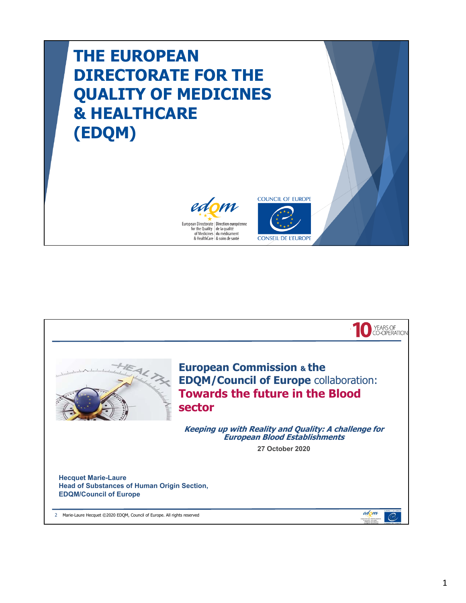## **THE EUROPEAN DIRECTORATE FOR THE QUALITY OF MEDICINES & HEALTHCARE (EDQM)**





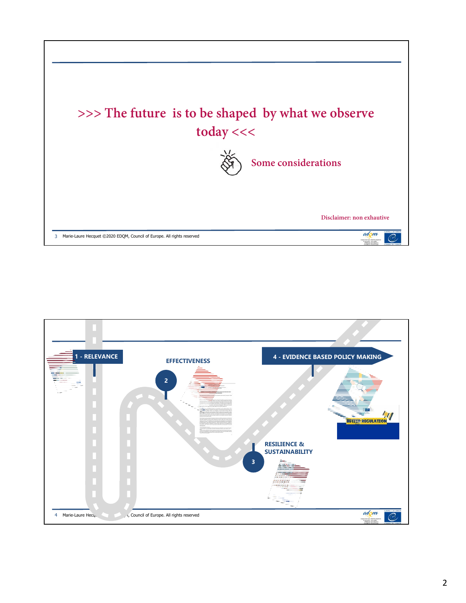

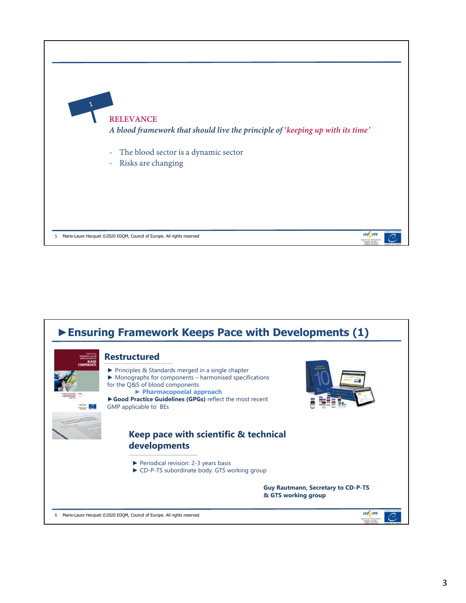

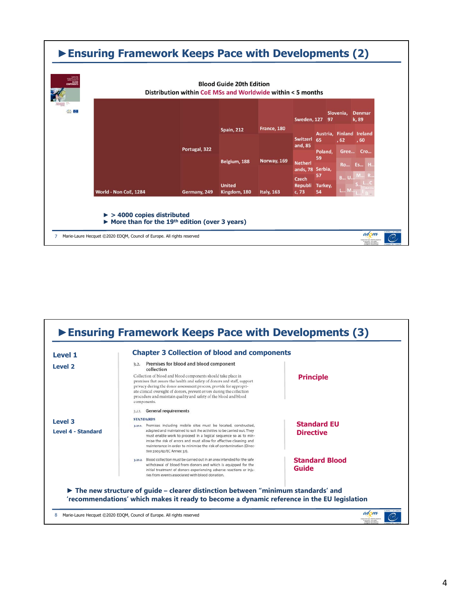

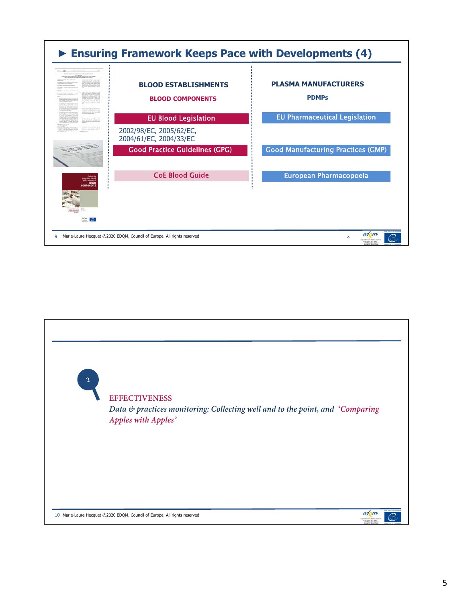

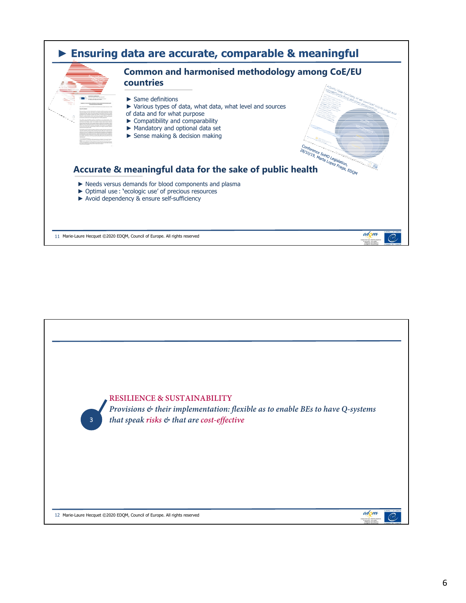

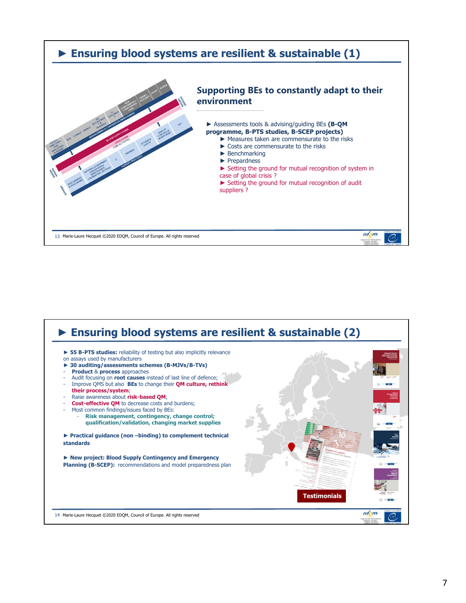

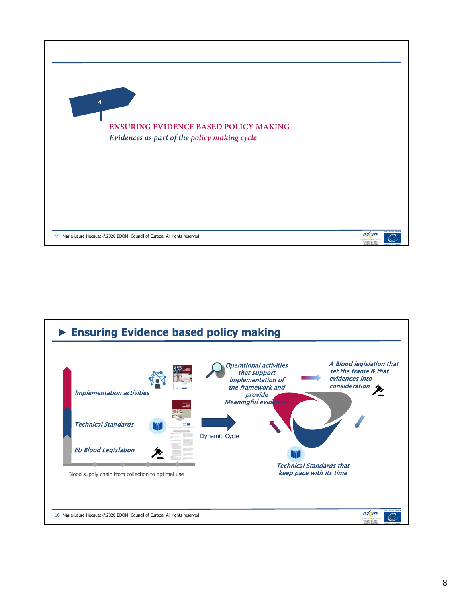

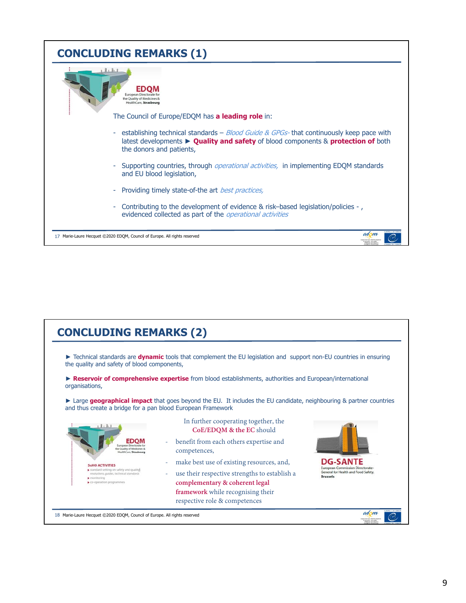